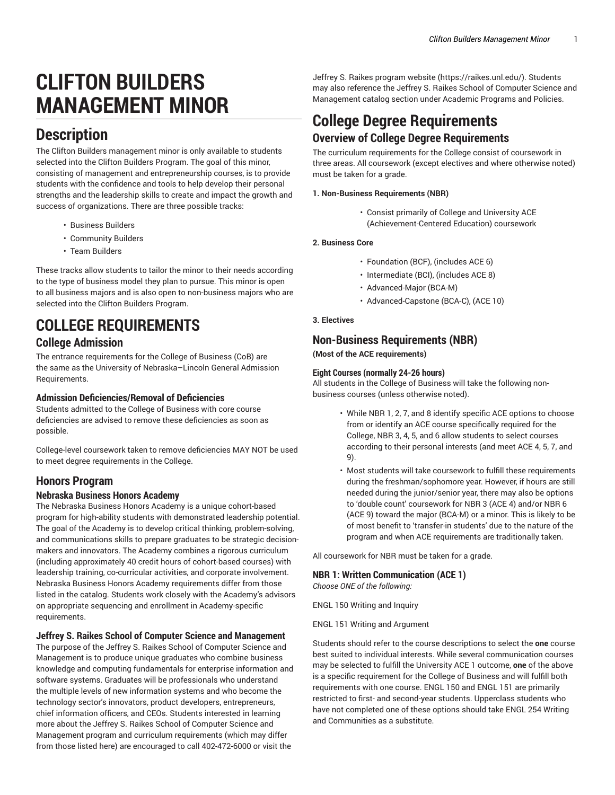# **CLIFTON BUILDERS MANAGEMENT MINOR**

## **Description**

The Clifton Builders management minor is only available to students selected into the Clifton Builders Program. The goal of this minor, consisting of management and entrepreneurship courses, is to provide students with the confidence and tools to help develop their personal strengths and the leadership skills to create and impact the growth and success of organizations. There are three possible tracks:

- Business Builders
- Community Builders
- Team Builders

These tracks allow students to tailor the minor to their needs according to the type of business model they plan to pursue. This minor is open to all business majors and is also open to non-business majors who are selected into the Clifton Builders Program.

# **COLLEGE REQUIREMENTS**

## **College Admission**

The entrance requirements for the College of Business (CoB) are the same as the University of Nebraska–Lincoln General Admission Requirements.

#### **Admission Deficiencies/Removal of Deficiencies**

Students admitted to the College of Business with core course deficiencies are advised to remove these deficiencies as soon as possible.

College-level coursework taken to remove deficiencies MAY NOT be used to meet degree requirements in the College.

## **Honors Program**

#### **Nebraska Business Honors Academy**

The Nebraska Business Honors Academy is a unique cohort-based program for high-ability students with demonstrated leadership potential. The goal of the Academy is to develop critical thinking, problem-solving, and communications skills to prepare graduates to be strategic decisionmakers and innovators. The Academy combines a rigorous curriculum (including approximately 40 credit hours of cohort-based courses) with leadership training, co-curricular activities, and corporate involvement. Nebraska Business Honors Academy requirements differ from those listed in the catalog. Students work closely with the Academy's advisors on appropriate sequencing and enrollment in Academy-specific requirements.

#### **Jeffrey S. Raikes School of Computer Science and Management**

The purpose of the Jeffrey S. Raikes School of Computer Science and Management is to produce unique graduates who combine business knowledge and computing fundamentals for enterprise information and software systems. Graduates will be professionals who understand the multiple levels of new information systems and who become the technology sector's innovators, product developers, entrepreneurs, chief information officers, and CEOs. Students interested in learning more about the Jeffrey S. Raikes School of Computer Science and Management program and curriculum requirements (which may differ from those listed here) are encouraged to call 402-472-6000 or visit the

Jeffrey S. Raikes [program](https://raikes.unl.edu/) website ([https://raikes.unl.edu/\)](https://raikes.unl.edu/). Students may also reference the Jeffrey S. Raikes School of Computer Science and Management catalog section under Academic Programs and Policies.

## **College Degree Requirements Overview of College Degree Requirements**

The curriculum requirements for the College consist of coursework in three areas. All coursework (except electives and where otherwise noted) must be taken for a grade.

#### **1. Non-Business Requirements (NBR)**

• Consist primarily of College and University ACE (Achievement-Centered Education) coursework

#### **2. Business Core**

- Foundation (BCF), (includes ACE 6)
- Intermediate (BCI), (includes ACE 8)
- Advanced-Major (BCA-M)
- Advanced-Capstone (BCA-C), (ACE 10)
- **3. Electives**

## **Non-Business Requirements (NBR)**

**(Most of the ACE requirements)**

#### **Eight Courses (normally 24-26 hours)**

All students in the College of Business will take the following nonbusiness courses (unless otherwise noted).

- While NBR 1, 2, 7, and 8 identify specific ACE options to choose from or identify an ACE course specifically required for the College, NBR 3, 4, 5, and 6 allow students to select courses according to their personal interests (and meet ACE 4, 5, 7, and 9).
- Most students will take coursework to fulfill these requirements during the freshman/sophomore year. However, if hours are still needed during the junior/senior year, there may also be options to 'double count' coursework for NBR 3 (ACE 4) and/or NBR 6 (ACE 9) toward the major (BCA-M) or a minor. This is likely to be of most benefit to 'transfer-in students' due to the nature of the program and when ACE requirements are traditionally taken.

All coursework for NBR must be taken for a grade.

### **NBR 1: Written Communication (ACE 1)**

*Choose ONE of the following:*

ENGL 150 Writing and Inquiry

ENGL 151 Writing and Argument

Students should refer to the course descriptions to select the **one** course best suited to individual interests. While several communication courses may be selected to fulfill the University ACE 1 outcome, **one** of the above is a specific requirement for the College of Business and will fulfill both requirements with one course. ENGL 150 and ENGL 151 are primarily restricted to first- and second-year students. Upperclass students who have not completed one of these options should take ENGL 254 Writing and Communities as a substitute.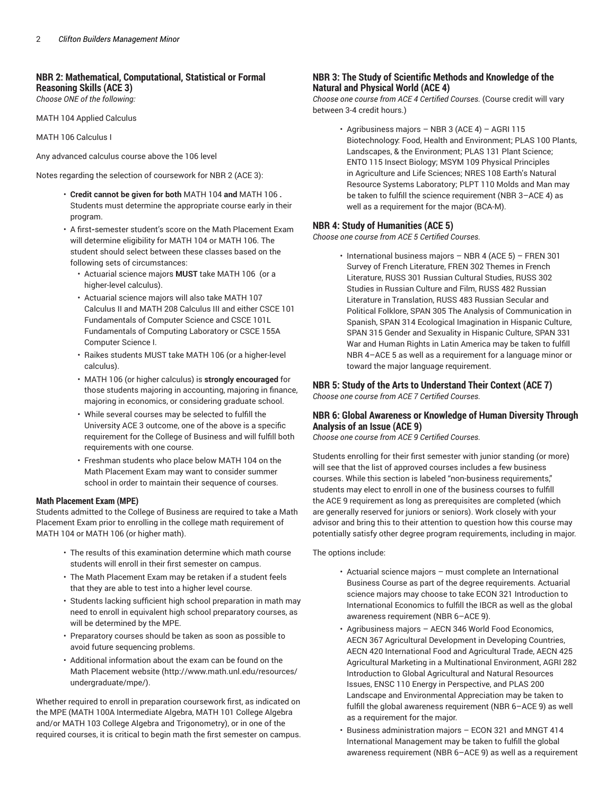## **NBR 2: Mathematical, Computational, Statistical or Formal Reasoning Skills (ACE 3)**

*Choose ONE of the following:*

MATH 104 Applied Calculus

MATH 106 Calculus I

Any advanced calculus course above the 106 level

Notes regarding the selection of coursework for NBR 2 (ACE 3):

- **Credit cannot be given for both** MATH 104 **and** MATH 106 **.** Students must determine the appropriate course early in their program.
- A first**-**semester student's score on the Math Placement Exam will determine eligibility for MATH 104 or MATH 106. The student should select between these classes based on the following sets of circumstances:
	- Actuarial science majors **MUST** take MATH 106 (or a higher-level calculus).
	- Actuarial science majors will also take MATH 107 Calculus II and MATH 208 Calculus III and either CSCE 101 Fundamentals of Computer Science and CSCE 101L Fundamentals of Computing Laboratory or CSCE 155A Computer Science I.
	- Raikes students MUST take MATH 106 (or a higher-level calculus).
	- MATH 106 (or higher calculus) is **strongly encouraged** for those students majoring in accounting, majoring in finance, majoring in economics, or considering graduate school.
	- While several courses may be selected to fulfill the University ACE 3 outcome, one of the above is a specific requirement for the College of Business and will fulfill both requirements with one course.
	- Freshman students who place below MATH 104 on the Math Placement Exam may want to consider summer school in order to maintain their sequence of courses.

#### **Math Placement Exam (MPE)**

Students admitted to the College of Business are required to take a Math Placement Exam prior to enrolling in the college math requirement of MATH 104 or MATH 106 (or higher math).

- The results of this examination determine which math course students will enroll in their first semester on campus.
- The Math Placement Exam may be retaken if a student feels that they are able to test into a higher level course.
- Students lacking sufficient high school preparation in math may need to enroll in equivalent high school preparatory courses, as will be determined by the MPE.
- Preparatory courses should be taken as soon as possible to avoid future sequencing problems.
- Additional information about the exam can be found on the Math Placement [website](http://www.math.unl.edu/resources/undergraduate/mpe/) ([http://www.math.unl.edu/resources/](http://www.math.unl.edu/resources/undergraduate/mpe/) [undergraduate/mpe/](http://www.math.unl.edu/resources/undergraduate/mpe/)).

Whether required to enroll in preparation coursework first, as indicated on the MPE (MATH 100A Intermediate Algebra, MATH 101 College Algebra and/or MATH 103 College Algebra and Trigonometry), or in one of the required courses, it is critical to begin math the first semester on campus.

#### **NBR 3: The Study of Scientific Methods and Knowledge of the Natural and Physical World (ACE 4)**

*Choose one course from ACE 4 Certified Courses.* (Course credit will vary between 3-4 credit hours.)

• Agribusiness majors – NBR 3 (ACE 4) – AGRI 115 Biotechnology: Food, Health and Environment; PLAS 100 Plants, Landscapes, & the Environment; PLAS 131 Plant Science; ENTO 115 Insect Biology; MSYM 109 Physical Principles in Agriculture and Life Sciences; NRES 108 Earth's Natural Resource Systems Laboratory; PLPT 110 Molds and Man may be taken to fulfill the science requirement (NBR 3–ACE 4) as well as a requirement for the major (BCA-M).

#### **NBR 4: Study of Humanities (ACE 5)**

*Choose one course from ACE 5 Certified Courses.*

• International business majors – NBR 4 (ACE 5) – FREN 301 Survey of French Literature, FREN 302 Themes in French Literature, RUSS 301 Russian Cultural Studies, RUSS 302 Studies in Russian Culture and Film, RUSS 482 Russian Literature in Translation, RUSS 483 Russian Secular and Political Folklore, SPAN 305 The Analysis of Communication in Spanish, SPAN 314 Ecological Imagination in Hispanic Culture, SPAN 315 Gender and Sexuality in Hispanic Culture, SPAN 331 War and Human Rights in Latin America may be taken to fulfill NBR 4–ACE 5 as well as a requirement for a language minor or toward the major language requirement.

## **NBR 5: Study of the Arts to Understand Their Context (ACE 7)**

*Choose one course from ACE 7 Certified Courses.*

#### **NBR 6: Global Awareness or Knowledge of Human Diversity Through Analysis of an Issue (ACE 9)**

*Choose one course from ACE 9 Certified Courses.*

Students enrolling for their first semester with junior standing (or more) will see that the list of approved courses includes a few business courses. While this section is labeled "non-business requirements," students may elect to enroll in one of the business courses to fulfill the ACE 9 requirement as long as prerequisites are completed (which are generally reserved for juniors or seniors). Work closely with your advisor and bring this to their attention to question how this course may potentially satisfy other degree program requirements, including in major.

The options include:

- Actuarial science majors must complete an International Business Course as part of the degree requirements. Actuarial science majors may choose to take ECON 321 Introduction to International Economics to fulfill the IBCR as well as the global awareness requirement (NBR 6–ACE 9).
- Agribusiness majors AECN 346 World Food Economics, AECN 367 Agricultural Development in Developing Countries, AECN 420 International Food and Agricultural Trade, AECN 425 Agricultural Marketing in a Multinational Environment, AGRI 282 Introduction to Global Agricultural and Natural Resources Issues, ENSC 110 Energy in Perspective, and PLAS 200 Landscape and Environmental Appreciation may be taken to fulfill the global awareness requirement (NBR 6–ACE 9) as well as a requirement for the major.
- Business administration majors ECON 321 and MNGT 414 International Management may be taken to fulfill the global awareness requirement (NBR 6–ACE 9) as well as a requirement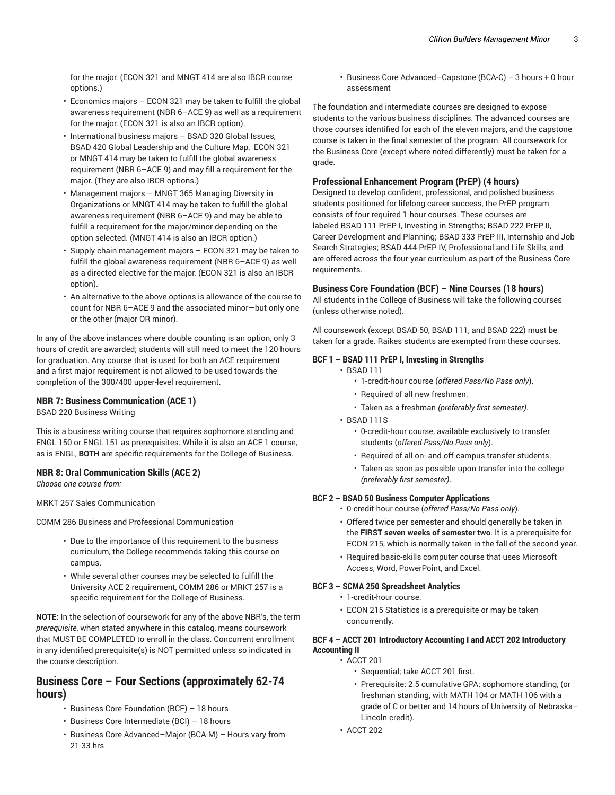for the major. (ECON 321 and MNGT 414 are also IBCR course options.)

- Economics majors ECON 321 may be taken to fulfill the global awareness requirement (NBR 6–ACE 9) as well as a requirement for the major. (ECON 321 is also an IBCR option).
- International business majors BSAD 320 Global Issues, BSAD 420 Global Leadership and the Culture Map, ECON 321 or MNGT 414 may be taken to fulfill the global awareness requirement (NBR 6–ACE 9) and may fill a requirement for the major. (They are also IBCR options.)
- Management majors MNGT 365 Managing Diversity in Organizations or MNGT 414 may be taken to fulfill the global awareness requirement (NBR 6–ACE 9) and may be able to fulfill a requirement for the major/minor depending on the option selected. (MNGT 414 is also an IBCR option.)
- Supply chain management majors ECON 321 may be taken to fulfill the global awareness requirement (NBR 6–ACE 9) as well as a directed elective for the major. (ECON 321 is also an IBCR option).
- An alternative to the above options is allowance of the course to count for NBR 6–ACE 9 and the associated minor—but only one or the other (major OR minor).

In any of the above instances where double counting is an option, only 3 hours of credit are awarded; students will still need to meet the 120 hours for graduation. Any course that is used for both an ACE requirement and a first major requirement is not allowed to be used towards the completion of the 300/400 upper-level requirement.

#### **NBR 7: Business Communication (ACE 1)**

BSAD 220 Business Writing

This is a business writing course that requires sophomore standing and ENGL 150 or ENGL 151 as prerequisites. While it is also an ACE 1 course, as is ENGL, **BOTH** are specific requirements for the College of Business.

#### **NBR 8: Oral Communication Skills (ACE 2)**

*Choose one course from:*

MRKT 257 Sales Communication

COMM 286 Business and Professional Communication

- Due to the importance of this requirement to the business curriculum, the College recommends taking this course on campus.
- While several other courses may be selected to fulfill the University ACE 2 requirement, COMM 286 or MRKT 257 is a specific requirement for the College of Business.

**NOTE:** In the selection of coursework for any of the above NBR's, the term *prerequisite*, when stated anywhere in this catalog, means coursework that MUST BE COMPLETED to enroll in the class. Concurrent enrollment in any identified prerequisite(s) is NOT permitted unless so indicated in the course description.

## **Business Core – Four Sections (approximately 62-74 hours)**

- Business Core Foundation (BCF) 18 hours
- Business Core Intermediate (BCI) 18 hours
- Business Core Advanced–Major (BCA-M) *–* Hours vary from 21-33 hrs

• Business Core Advanced–Capstone (BCA-C) *–* 3 hours + 0 hour assessment

The foundation and intermediate courses are designed to expose students to the various business disciplines. The advanced courses are those courses identified for each of the eleven majors, and the capstone course is taken in the final semester of the program. All coursework for the Business Core (except where noted differently) must be taken for a grade.

#### **Professional Enhancement Program (PrEP) (4 hours)**

Designed to develop confident, professional, and polished business students positioned for lifelong career success, the PrEP program consists of four required 1-hour courses. These courses are labeled BSAD 111 PrEP I, Investing in Strengths; BSAD 222 PrEP II, Career Development and Planning; BSAD 333 PrEP III, Internship and Job Search Strategies; BSAD 444 PrEP IV, Professional and Life Skills, and are offered across the four-year curriculum as part of the Business Core requirements.

#### **Business Core Foundation (BCF) – Nine Courses (18 hours)**

All students in the College of Business will take the following courses (unless otherwise noted).

All coursework (except BSAD 50, BSAD 111, and BSAD 222) must be taken for a grade. Raikes students are exempted from these courses.

#### **BCF 1 – BSAD 111 PrEP I, Investing in Strengths**

- BSAD 111
	- 1-credit-hour course (*offered Pass/No Pass only*).
	- Required of all new freshmen.
	- Taken as a freshman *(preferably first semester)*.
- BSAD 111S
	- 0-credit-hour course, available exclusively to transfer students (*offered Pass/No Pass only*).
	- Required of all on- and off-campus transfer students.
	- Taken as soon as possible upon transfer into the college *(preferably first semester)*.

#### **BCF 2 – BSAD 50 Business Computer Applications**

- 0-credit-hour course (*offered Pass/No Pass only*).
- Offered twice per semester and should generally be taken in the **FIRST seven weeks of semester two**. It is a prerequisite for ECON 215, which is normally taken in the fall of the second year.
- Required basic-skills computer course that uses Microsoft Access, Word, PowerPoint, and Excel.

#### **BCF 3 – SCMA 250 Spreadsheet Analytics**

- 1-credit-hour course.
- ECON 215 Statistics is a prerequisite or may be taken concurrently.

#### **BCF 4 – ACCT 201 Introductory Accounting I and ACCT 202 Introductory Accounting II**

- ACCT 201
	- Sequential; take ACCT 201 first.
	- Prerequisite: 2.5 cumulative GPA; sophomore standing, (or freshman standing, with MATH 104 or MATH 106 with a grade of C or better and 14 hours of University of Nebraska– Lincoln credit).
	- ACCT 202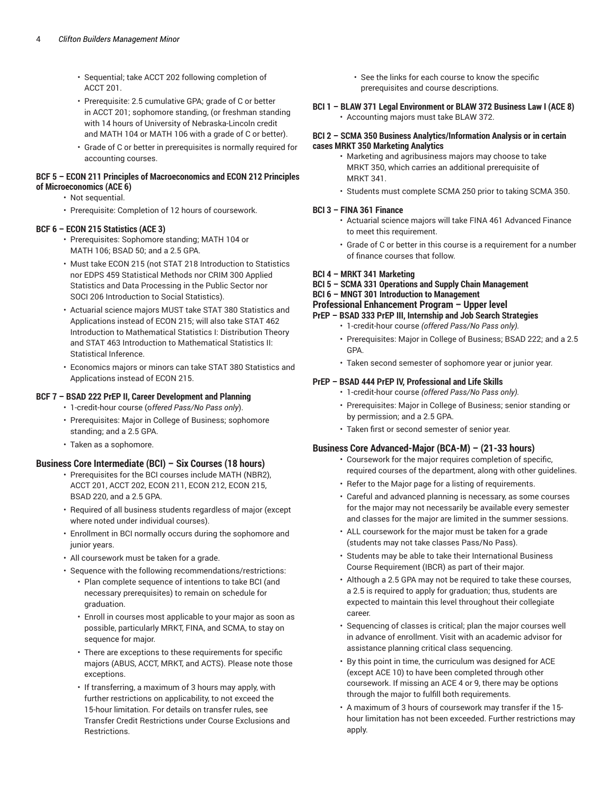- Sequential; take ACCT 202 following completion of ACCT 201.
- Prerequisite: 2.5 cumulative GPA; grade of C or better in ACCT 201; sophomore standing, (or freshman standing with 14 hours of University of Nebraska-Lincoln credit and MATH 104 or MATH 106 with a grade of C or better).
- Grade of C or better in prerequisites is normally required for accounting courses.

#### **BCF 5 – ECON 211 Principles of Macroeconomics and ECON 212 Principles of Microeconomics (ACE 6)**

- Not sequential.
- Prerequisite: Completion of 12 hours of coursework.

#### **BCF 6 – ECON 215 Statistics (ACE 3)**

- Prerequisites: Sophomore standing; MATH 104 or MATH 106; BSAD 50; and a 2.5 GPA.
- Must take ECON 215 (not STAT 218 Introduction to Statistics nor EDPS 459 Statistical Methods nor CRIM 300 Applied Statistics and Data Processing in the Public Sector nor SOCI 206 Introduction to Social Statistics).
- Actuarial science majors MUST take STAT 380 Statistics and Applications instead of ECON 215; will also take STAT 462 Introduction to Mathematical Statistics I: Distribution Theory and STAT 463 Introduction to Mathematical Statistics II: Statistical Inference.
- Economics majors or minors can take STAT 380 Statistics and Applications instead of ECON 215.

#### **BCF 7 – BSAD 222 PrEP II, Career Development and Planning**

- 1-credit-hour course (o*ffered Pass/No Pass only*).
- Prerequisites: Major in College of Business; sophomore standing; and a 2.5 GPA.
- Taken as a sophomore.

#### **Business Core Intermediate (BCI) – Six Courses (18 hours)**

- Prerequisites for the BCI courses include MATH (NBR2), ACCT 201, ACCT 202, ECON 211, ECON 212, ECON 215, BSAD 220, and a 2.5 GPA.
- Required of all business students regardless of major (except where noted under individual courses).
- Enrollment in BCI normally occurs during the sophomore and junior years.
- All coursework must be taken for a grade.
- Sequence with the following recommendations/restrictions:
	- Plan complete sequence of intentions to take BCI (and necessary prerequisites) to remain on schedule for graduation.
	- Enroll in courses most applicable to your major as soon as possible, particularly MRKT, FINA, and SCMA, to stay on sequence for major.
	- There are exceptions to these requirements for specific majors (ABUS, ACCT, MRKT, and ACTS). Please note those exceptions.
	- If transferring, a maximum of 3 hours may apply, with further restrictions on applicability, to not exceed the 15-hour limitation. For details on transfer rules, see Transfer Credit Restrictions under Course Exclusions and Restrictions.
- See the links for each course to know the specific prerequisites and course descriptions.
- **BCI 1 – BLAW 371 Legal Environment or BLAW 372 Business Law I (ACE 8)** • Accounting majors must take BLAW 372.

#### **BCI 2 – SCMA 350 Business Analytics/Information Analysis or in certain cases MRKT 350 Marketing Analytics**

- Marketing and agribusiness majors may choose to take MRKT 350, which carries an additional prerequisite of MRKT 341.
- Students must complete SCMA 250 prior to taking SCMA 350.

#### **BCI 3 – FINA 361 Finance**

- Actuarial science majors will take FINA 461 Advanced Finance to meet this requirement.
- Grade of C or better in this course is a requirement for a number of finance courses that follow.

#### **BCI 4 – MRKT 341 Marketing**

**BCI 5 – SCMA 331 Operations and Supply Chain Management**

## **BCI 6 – MNGT 301 Introduction to Management**

- **Professional Enhancement Program – Upper level**
- **PrEP – BSAD 333 PrEP III, Internship and Job Search Strategies**
	- 1-credit-hour course *(offered Pass/No Pass only).*
		- Prerequisites: Major in College of Business; BSAD 222; and a 2.5 GPA.
		- Taken second semester of sophomore year or junior year.

#### **PrEP – BSAD 444 PrEP IV, Professional and Life Skills**

- 1-credit-hour course *(offered Pass/No Pass only).*
- Prerequisites: Major in College of Business; senior standing or by permission; and a 2.5 GPA.
- Taken first or second semester of senior year.

#### **Business Core Advanced-Major (BCA-M) – (21-33 hours)**

- Coursework for the major requires completion of specific, required courses of the department, along with other guidelines.
- Refer to the Major page for a listing of requirements.
- Careful and advanced planning is necessary, as some courses for the major may not necessarily be available every semester and classes for the major are limited in the summer sessions.
- ALL coursework for the major must be taken for a grade (students may not take classes Pass/No Pass).
- Students may be able to take their International Business Course Requirement (IBCR) as part of their major.
- Although a 2.5 GPA may not be required to take these courses, a 2.5 is required to apply for graduation; thus, students are expected to maintain this level throughout their collegiate career.
- Sequencing of classes is critical; plan the major courses well in advance of enrollment. Visit with an academic advisor for assistance planning critical class sequencing.
- By this point in time, the curriculum was designed for ACE (except ACE 10) to have been completed through other coursework. If missing an ACE 4 or 9, there may be options through the major to fulfill both requirements.
- A maximum of 3 hours of coursework may transfer if the 15 hour limitation has not been exceeded. Further restrictions may apply.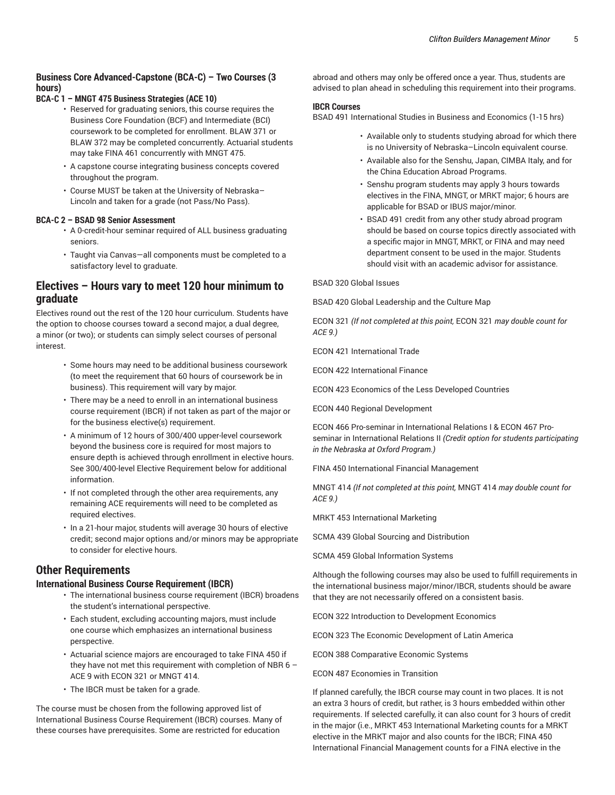#### **Business Core Advanced-Capstone (BCA-C) – Two Courses (3 hours)**

- **BCA-C 1 – MNGT 475 Business Strategies (ACE 10)**
	- Reserved for graduating seniors, this course requires the Business Core Foundation (BCF) and Intermediate (BCI) coursework to be completed for enrollment. BLAW 371 or BLAW 372 may be completed concurrently. Actuarial students may take FINA 461 concurrently with MNGT 475.
	- A capstone course integrating business concepts covered throughout the program.
	- Course MUST be taken at the University of Nebraska– Lincoln and taken for a grade (not Pass/No Pass).

#### **BCA-C 2 – BSAD 98 Senior Assessment**

- A 0-credit-hour seminar required of ALL business graduating seniors.
- Taught via Canvas—all components must be completed to a satisfactory level to graduate.

### **Electives – Hours vary to meet 120 hour minimum to graduate**

Electives round out the rest of the 120 hour curriculum. Students have the option to choose courses toward a second major, a dual degree, a minor (or two); or students can simply select courses of personal interest.

- Some hours may need to be additional business coursework (to meet the requirement that 60 hours of coursework be in business). This requirement will vary by major.
- There may be a need to enroll in an international business course requirement (IBCR) if not taken as part of the major or for the business elective(s) requirement.
- A minimum of 12 hours of 300/400 upper-level coursework beyond the business core is required for most majors to ensure depth is achieved through enrollment in elective hours. See 300/400-level Elective Requirement below for additional information.
- If not completed through the other area requirements, any remaining ACE requirements will need to be completed as required electives.
- In a 21-hour major, students will average 30 hours of elective credit; second major options and/or minors may be appropriate to consider for elective hours.

## **Other Requirements**

#### **International Business Course Requirement (IBCR)**

- The international business course requirement (IBCR) broadens the student's international perspective.
- Each student, excluding accounting majors, must include one course which emphasizes an international business perspective.
- Actuarial science majors are encouraged to take FINA 450 if they have not met this requirement with completion of NBR 6 – ACE 9 with ECON 321 or MNGT 414.
- The IBCR must be taken for a grade.

The course must be chosen from the following approved list of International Business Course Requirement (IBCR) courses. Many of these courses have prerequisites. Some are restricted for education

abroad and others may only be offered once a year. Thus, students are advised to plan ahead in scheduling this requirement into their programs.

#### **IBCR Courses**

BSAD 491 International Studies in Business and Economics (1-15 hrs)

- Available only to students studying abroad for which there is no University of Nebraska–Lincoln equivalent course.
- Available also for the Senshu, Japan, CIMBA Italy, and for the China Education Abroad Programs.
- Senshu program students may apply 3 hours towards electives in the FINA, MNGT, or MRKT major; 6 hours are applicable for BSAD or IBUS major/minor.
- BSAD 491 credit from any other study abroad program should be based on course topics directly associated with a specific major in MNGT, MRKT, or FINA and may need department consent to be used in the major. Students should visit with an academic advisor for assistance.

BSAD 320 Global Issues

BSAD 420 Global Leadership and the Culture Map

ECON 321 *(If not completed at this point,* ECON 321 *may double count for ACE 9.)*

ECON 421 International Trade

ECON 422 International Finance

ECON 423 Economics of the Less Developed Countries

ECON 440 Regional Development

ECON 466 Pro-seminar in International Relations I & ECON 467 Proseminar in International Relations II *(Credit option for students participating in the Nebraska at Oxford Program.)*

FINA 450 International Financial Management

MNGT 414 *(If not completed at this point,* MNGT 414 *may double count for ACE 9.)*

MRKT 453 International Marketing

SCMA 439 Global Sourcing and Distribution

SCMA 459 Global Information Systems

Although the following courses may also be used to fulfill requirements in the international business major/minor/IBCR, students should be aware that they are not necessarily offered on a consistent basis.

ECON 322 Introduction to Development Economics

ECON 323 The Economic Development of Latin America

ECON 388 Comparative Economic Systems

ECON 487 Economies in Transition

If planned carefully, the IBCR course may count in two places. It is not an extra 3 hours of credit, but rather, is 3 hours embedded within other requirements. If selected carefully, it can also count for 3 hours of credit in the major (i.e., MRKT 453 International Marketing counts for a MRKT elective in the MRKT major and also counts for the IBCR; FINA 450 International Financial Management counts for a FINA elective in the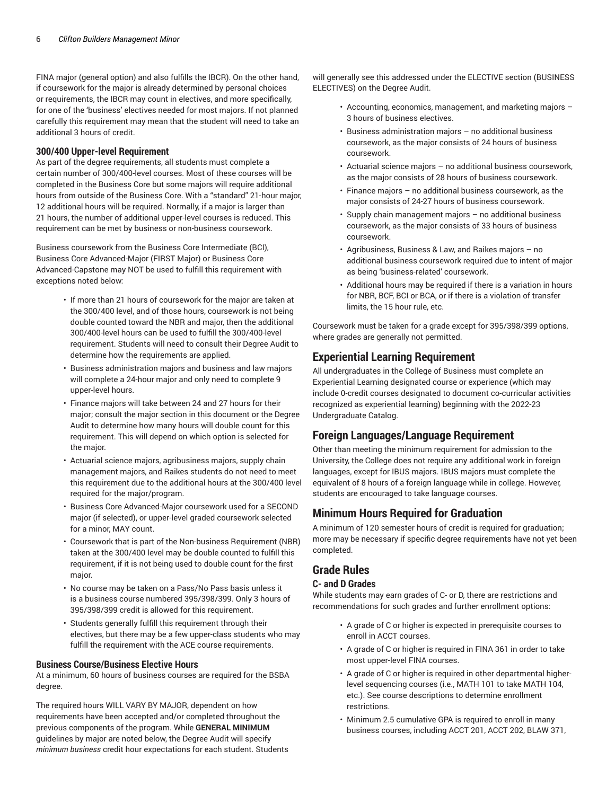FINA major (general option) and also fulfills the IBCR). On the other hand, if coursework for the major is already determined by personal choices or requirements, the IBCR may count in electives, and more specifically, for one of the 'business' electives needed for most majors. If not planned carefully this requirement may mean that the student will need to take an additional 3 hours of credit.

#### **300/400 Upper-level Requirement**

As part of the degree requirements, all students must complete a certain number of 300/400-level courses. Most of these courses will be completed in the Business Core but some majors will require additional hours from outside of the Business Core. With a "standard" 21-hour major, 12 additional hours will be required. Normally, if a major is larger than 21 hours, the number of additional upper-level courses is reduced. This requirement can be met by business or non-business coursework.

Business coursework from the Business Core Intermediate (BCI), Business Core Advanced-Major (FIRST Major) or Business Core Advanced-Capstone may NOT be used to fulfill this requirement with exceptions noted below:

- If more than 21 hours of coursework for the major are taken at the 300/400 level, and of those hours, coursework is not being double counted toward the NBR and major, then the additional 300/400-level hours can be used to fulfill the 300/400-level requirement. Students will need to consult their Degree Audit to determine how the requirements are applied.
- Business administration majors and business and law majors will complete a 24-hour major and only need to complete 9 upper-level hours.
- Finance majors will take between 24 and 27 hours for their major; consult the major section in this document or the Degree Audit to determine how many hours will double count for this requirement. This will depend on which option is selected for the major.
- Actuarial science majors, agribusiness majors, supply chain management majors, and Raikes students do not need to meet this requirement due to the additional hours at the 300/400 level required for the major/program.
- Business Core Advanced-Major coursework used for a SECOND major (if selected), or upper-level graded coursework selected for a minor, MAY count.
- Coursework that is part of the Non-business Requirement (NBR) taken at the 300/400 level may be double counted to fulfill this requirement, if it is not being used to double count for the first major.
- No course may be taken on a Pass/No Pass basis unless it is a business course numbered 395/398/399. Only 3 hours of 395/398/399 credit is allowed for this requirement.
- Students generally fulfill this requirement through their electives, but there may be a few upper-class students who may fulfill the requirement with the ACE course requirements.

#### **Business Course/Business Elective Hours**

At a minimum, 60 hours of business courses are required for the BSBA degree.

The required hours WILL VARY BY MAJOR, dependent on how requirements have been accepted and/or completed throughout the previous components of the program. While **GENERAL MINIMUM** guidelines by major are noted below, the Degree Audit will specify *minimum business* credit hour expectations for each student. Students

will generally see this addressed under the ELECTIVE section (BUSINESS ELECTIVES) on the Degree Audit.

- Accounting, economics, management, and marketing majors 3 hours of business electives.
- Business administration majors no additional business coursework, as the major consists of 24 hours of business coursework.
- Actuarial science majors no additional business coursework, as the major consists of 28 hours of business coursework.
- Finance majors  $-$  no additional business coursework, as the major consists of 24-27 hours of business coursework.
- Supply chain management majors  $-$  no additional business coursework, as the major consists of 33 hours of business coursework.
- Agribusiness, Business & Law, and Raikes majors no additional business coursework required due to intent of major as being 'business-related' coursework.
- Additional hours may be required if there is a variation in hours for NBR, BCF, BCI or BCA, or if there is a violation of transfer limits, the 15 hour rule, etc.

Coursework must be taken for a grade except for 395/398/399 options, where grades are generally not permitted.

## **Experiential Learning Requirement**

All undergraduates in the College of Business must complete an Experiential Learning designated course or experience (which may include 0-credit courses designated to document co-curricular activities recognized as experiential learning) beginning with the 2022-23 Undergraduate Catalog.

## **Foreign Languages/Language Requirement**

Other than meeting the minimum requirement for admission to the University, the College does not require any additional work in foreign languages, except for IBUS majors. IBUS majors must complete the equivalent of 8 hours of a foreign language while in college. However, students are encouraged to take language courses.

## **Minimum Hours Required for Graduation**

A minimum of 120 semester hours of credit is required for graduation; more may be necessary if specific degree requirements have not yet been completed.

## **Grade Rules**

#### **C- and D Grades**

While students may earn grades of C- or D, there are restrictions and recommendations for such grades and further enrollment options:

- A grade of C or higher is expected in prerequisite courses to enroll in ACCT courses.
- A grade of C or higher is required in FINA 361 in order to take most upper-level FINA courses.
- A grade of C or higher is required in other departmental higherlevel sequencing courses (i.e., MATH 101 to take MATH 104, etc.). See course descriptions to determine enrollment restrictions.
- Minimum 2.5 cumulative GPA is required to enroll in many business courses, including ACCT 201, ACCT 202, BLAW 371,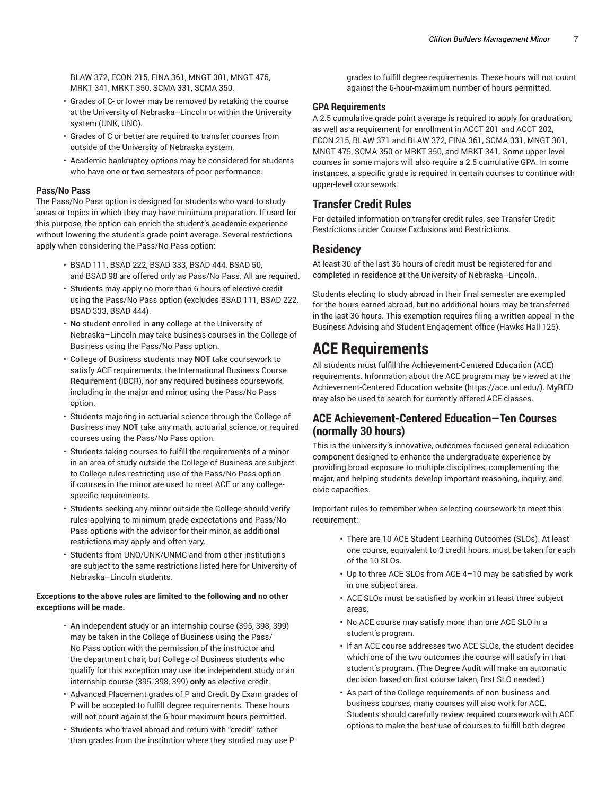BLAW 372, ECON 215, FINA 361, MNGT 301, MNGT 475, MRKT 341, MRKT 350, SCMA 331, SCMA 350.

- Grades of C- or lower may be removed by retaking the course at the University of Nebraska–Lincoln or within the University system (UNK, UNO).
- Grades of C or better are required to transfer courses from outside of the University of Nebraska system.
- Academic bankruptcy options may be considered for students who have one or two semesters of poor performance.

#### **Pass/No Pass**

The Pass/No Pass option is designed for students who want to study areas or topics in which they may have minimum preparation. If used for this purpose, the option can enrich the student's academic experience without lowering the student's grade point average. Several restrictions apply when considering the Pass/No Pass option:

- BSAD 111, BSAD 222, BSAD 333, BSAD 444, BSAD 50, and BSAD 98 are offered only as Pass/No Pass. All are required.
- Students may apply no more than 6 hours of elective credit using the Pass/No Pass option (excludes BSAD 111, BSAD 222, BSAD 333, BSAD 444).
- **No** student enrolled in **any** college at the University of Nebraska–Lincoln may take business courses in the College of Business using the Pass/No Pass option.
- College of Business students may **NOT** take coursework to satisfy ACE requirements, the International Business Course Requirement (IBCR), nor any required business coursework, including in the major and minor, using the Pass/No Pass option.
- Students majoring in actuarial science through the College of Business may **NOT** take any math, actuarial science, or required courses using the Pass/No Pass option.
- Students taking courses to fulfill the requirements of a minor in an area of study outside the College of Business are subject to College rules restricting use of the Pass/No Pass option if courses in the minor are used to meet ACE or any collegespecific requirements.
- Students seeking any minor outside the College should verify rules applying to minimum grade expectations and Pass/No Pass options with the advisor for their minor, as additional restrictions may apply and often vary.
- Students from UNO/UNK/UNMC and from other institutions are subject to the same restrictions listed here for University of Nebraska–Lincoln students.

#### **Exceptions to the above rules are limited to the following and no other exceptions will be made.**

- An independent study or an internship course (395, 398, 399) may be taken in the College of Business using the Pass/ No Pass option with the permission of the instructor and the department chair, but College of Business students who qualify for this exception may use the independent study or an internship course (395, 398, 399) **only** as elective credit.
- Advanced Placement grades of P and Credit By Exam grades of P will be accepted to fulfill degree requirements. These hours will not count against the 6-hour-maximum hours permitted.
- Students who travel abroad and return with "credit" rather than grades from the institution where they studied may use P

grades to fulfill degree requirements. These hours will not count against the 6-hour-maximum number of hours permitted.

#### **GPA Requirements**

A 2.5 cumulative grade point average is required to apply for graduation, as well as a requirement for enrollment in ACCT 201 and ACCT 202, ECON 215, BLAW 371 and BLAW 372, FINA 361, SCMA 331, MNGT 301, MNGT 475, SCMA 350 or MRKT 350, and MRKT 341. Some upper-level courses in some majors will also require a 2.5 cumulative GPA. In some instances, a specific grade is required in certain courses to continue with upper-level coursework.

## **Transfer Credit Rules**

For detailed information on transfer credit rules, see Transfer Credit Restrictions under Course Exclusions and Restrictions.

#### **Residency**

At least 30 of the last 36 hours of credit must be registered for and completed in residence at the University of Nebraska–Lincoln.

Students electing to study abroad in their final semester are exempted for the hours earned abroad, but no additional hours may be transferred in the last 36 hours. This exemption requires filing a written appeal in the Business Advising and Student Engagement office (Hawks Hall 125).

## **ACE Requirements**

All students must fulfill the Achievement-Centered Education (ACE) requirements. Information about the ACE program may be viewed at the [Achievement-Centered](https://ace.unl.edu/) Education website [\(https://ace.unl.edu/\)](https://ace.unl.edu/). MyRED may also be used to search for currently offered ACE classes.

## **ACE Achievement-Centered Education—Ten Courses (normally 30 hours)**

This is the university's innovative, outcomes-focused general education component designed to enhance the undergraduate experience by providing broad exposure to multiple disciplines, complementing the major, and helping students develop important reasoning, inquiry, and civic capacities.

Important rules to remember when selecting coursework to meet this requirement:

- There are 10 ACE Student Learning Outcomes (SLOs). At least one course, equivalent to 3 credit hours, must be taken for each of the 10 SLOs.
- Up to three ACE SLOs from ACE 4–10 may be satisfied by work in one subject area.
- ACE SLOs must be satisfied by work in at least three subject areas.
- No ACE course may satisfy more than one ACE SLO in a student's program.
- If an ACE course addresses two ACE SLOs, the student decides which one of the two outcomes the course will satisfy in that student's program. (The Degree Audit will make an automatic decision based on first course taken, first SLO needed.)
- As part of the College requirements of non-business and business courses, many courses will also work for ACE. Students should carefully review required coursework with ACE options to make the best use of courses to fulfill both degree